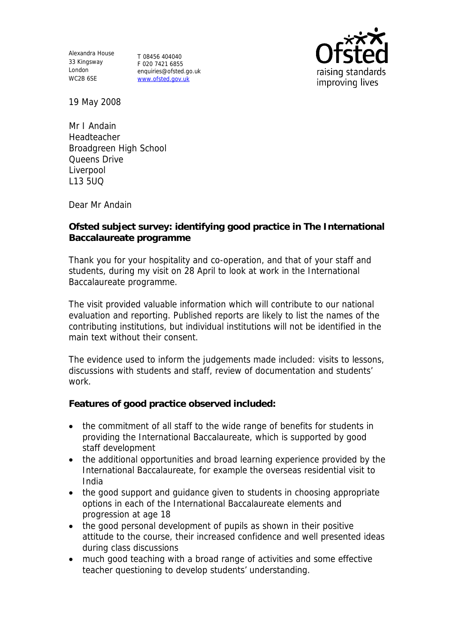Alexandra House 33 Kingsway T 08456 404040 London WC2B 6SE

F 020 7421 6855 enquiries@ofsted.go.uk www.ofsted.gov.uk



19 May 2008

Mr I Andain Headteacher Broadgreen High School Queens Drive Liverpool L13 5UQ

Dear Mr Andain

**Ofsted subject survey: identifying good practice in The International Baccalaureate programme**

Thank you for your hospitality and co-operation, and that of your staff and students, during my visit on 28 April to look at work in the International Baccalaureate programme.

The visit provided valuable information which will contribute to our national evaluation and reporting. Published reports are likely to list the names of the contributing institutions, but individual institutions will not be identified in the main text without their consent.

The evidence used to inform the judgements made included: visits to lessons, discussions with students and staff, review of documentation and students' work.

**Features of good practice observed included:**

- the commitment of all staff to the wide range of benefits for students in providing the International Baccalaureate, which is supported by good staff development
- the additional opportunities and broad learning experience provided by the International Baccalaureate, for example the overseas residential visit to India
- the good support and guidance given to students in choosing appropriate options in each of the International Baccalaureate elements and progression at age 18
- the good personal development of pupils as shown in their positive attitude to the course, their increased confidence and well presented ideas during class discussions
- much good teaching with a broad range of activities and some effective teacher questioning to develop students' understanding.